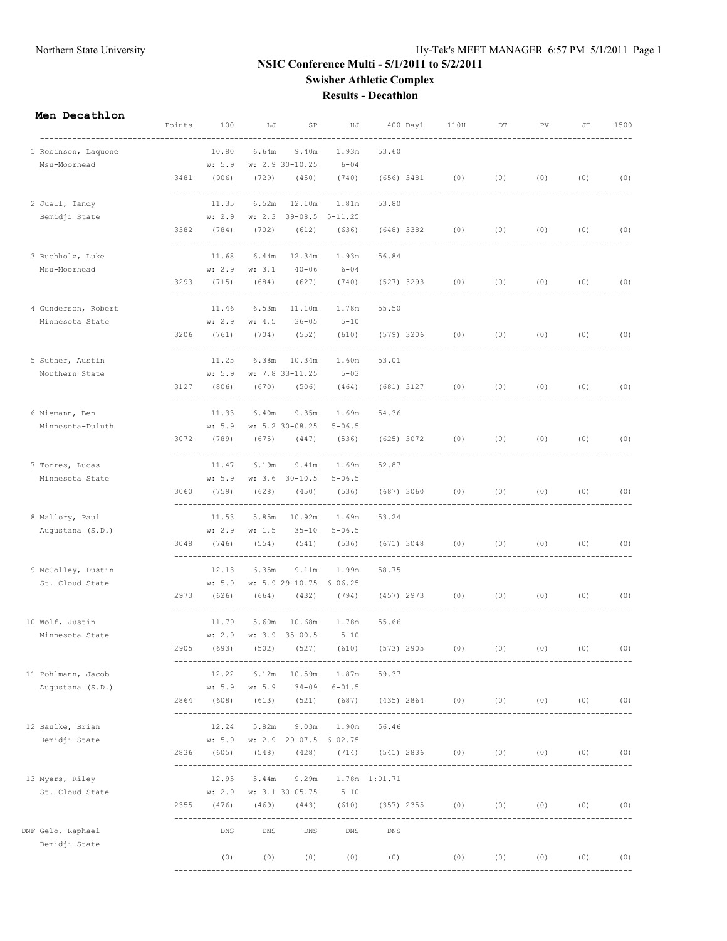# Northern State University Hy-Tek's MEET MANAGER 6:57 PM 5/1/2011 Page 1

### **NSIC Conference Multi - 5/1/2011 to 5/2/2011 Swisher Athletic Complex Results - Decathlon**

#### **Men Decathlon**

|                     | Points | 100                    | LJ     | SP                                  | ΗJ                        |               | 400 Day1     | 110H                             | DT  | PV          | JT          | 1500      |
|---------------------|--------|------------------------|--------|-------------------------------------|---------------------------|---------------|--------------|----------------------------------|-----|-------------|-------------|-----------|
| 1 Robinson, Laquone |        | 10.80                  | 6.64m  | 9.40m                               | ------<br>1.93m           | 53.60         |              |                                  |     |             |             |           |
| Msu-Moorhead        |        | w: 5.9                 |        | w: 2.9 30-10.25                     | $6 - 04$                  |               |              |                                  |     |             |             |           |
|                     | 3481   | (906)                  | (729)  | (450)                               | (740)                     | $(656)$ 3481  |              | (0)<br>--------                  | (0) | (0)         | (0)         | (0)       |
| 2 Juell, Tandy      |        | 11.35                  | 6.52m  | 12.10m                              | 1.81m                     | 53.80         |              |                                  |     |             |             |           |
| Bemidji State       |        | w: 2.9                 |        | w: 2.3 39-08.5 5-11.25              |                           |               |              |                                  |     |             |             |           |
|                     | 3382   | (784)<br>------------- | (702)  | (612)                               | (636)                     | (648) 3382    |              | (0)                              | (0) | (0)         | (0)         | (0)       |
| 3 Buchholz, Luke    |        | 11.68                  | 6.44m  | 12.34m                              | 1.93m                     | 56.84         |              |                                  |     |             |             |           |
| Msu-Moorhead        |        | w: 2.9                 | w: 3.1 | $40 - 06$                           | $6 - 04$                  |               |              |                                  |     |             |             |           |
|                     | 3293   | (715)                  | (684)  | (627)                               | (740)                     | (527) 3293    |              | (0)                              | (0) | (0)         | (0)         | (0)       |
| 4 Gunderson, Robert |        | 11.46                  | 6.53m  | 11.10m                              | 1.78m                     | 55.50         |              |                                  |     |             |             |           |
| Minnesota State     |        | w: 2.9                 | w: 4.5 | $36 - 05$                           | $5 - 10$                  |               |              |                                  |     |             |             |           |
|                     | 3206   | (761)                  | (704)  | (552)<br>-------------------------- | (610)                     | $(579)$ 3206  |              | (0)<br>----------------------    | (0) | (0)         | (0)         | (0)       |
| 5 Suther, Austin    |        | 11.25                  | 6.38m  | 10.34m                              | 1.60m                     | 53.01         |              |                                  |     |             |             |           |
| Northern State      |        | w: 5.9                 |        | w: 7.8 33-11.25                     | $5 - 03$                  |               |              |                                  |     |             |             |           |
|                     | 3127   | (806)                  | (670)  | (506)                               | (464)                     |               | (681) 3127   | (0)                              | (0) | (0)         | (0)         | (0)       |
| 6 Niemann, Ben      |        | 11.33                  | 6.40m  | 9.35m                               | 1.69m                     | 54.36         |              |                                  |     |             |             |           |
| Minnesota-Duluth    |        |                        |        | w: 5.9 w: 5.2 30-08.25              | $5 - 06.5$                |               |              |                                  |     |             |             |           |
|                     | 3072   | (789)                  | (675)  | (447)                               | (536)                     | $(625)$ 3072  |              | (0)                              | (0) | (0)         | (0)         | (0)       |
| 7 Torres, Lucas     |        | 11.47                  | 6.19m  | 9.41m                               | 1.69m                     | 52.87         |              |                                  |     |             |             |           |
| Minnesota State     |        | w: 5.9                 |        | w: 3.6 30-10.5                      | $5 - 06.5$                |               |              |                                  |     |             |             |           |
|                     | 3060   | (759)                  | (628)  | (450)<br>--------                   | (536)<br>--------         | (687) 3060    |              | (0)                              | (0) | (0)         | (0)         | (0)       |
| 8 Mallory, Paul     |        | 11.53                  | 5.85m  | 10.92m                              | 1.69m                     | 53.24         |              |                                  |     |             |             |           |
| Augustana (S.D.)    |        | w: 2.9                 | w: 1.5 | $35 - 10$                           | $5 - 06.5$                |               |              |                                  |     |             |             |           |
|                     | 3048   | (746)                  | (554)  | (541)                               | (536)                     |               | (671) 3048   | (0)                              | (0) | (0)         | (0)         | (0)       |
| 9 McColley, Dustin  |        | 12.13                  | 6.35m  | 9.11m                               | 1.99m                     | 58.75         |              |                                  |     |             |             |           |
| St. Cloud State     |        | w: 5.9                 |        | w: 5.9 29-10.75 6-06.25             |                           |               |              |                                  |     |             |             |           |
|                     | 2973   | (626)                  | (664)  | (432)                               | (794)                     |               | $(457)$ 2973 | (0)                              | (0) | (0)         | (0)         | (0)       |
| 10 Wolf, Justin     |        | 11.79                  | 5.60m  | 10.68m                              | 1.78m                     | 55.66         |              |                                  |     |             |             |           |
| Minnesota State     |        | w: 2.9                 |        | $w: 3.9 35 - 00.5$                  | $5 - 10$                  |               |              |                                  |     |             |             |           |
|                     | 2905   | (693)                  | (502)  | (527)                               | (610)                     | $(573)$ 2905  |              | (0)                              | (0) | (0)         | (0)         | (0)       |
| 11 Pohlmann, Jacob  |        | 12.22                  | 6.12m  |                                     | 10.59m 1.87m              | 59.37         |              |                                  |     |             |             |           |
| Augustana (S.D.)    |        |                        |        | w: 5.9 w: 5.9 34-09 6-01.5          |                           |               |              |                                  |     |             |             |           |
|                     |        | 2864 (608)             |        | (613) (521) (687)                   | ------------------------- |               |              | $(435) 2864$ (0) (0) (0) (0) (0) |     |             |             |           |
| 12 Baulke, Brian    |        | 12.24                  | 5.82m  | 9.03m                               | 1.90m                     | 56.46         |              |                                  |     |             |             |           |
| Bemidji State       |        | w: 5.9                 |        | w: 2.9 29-07.5 6-02.75              |                           |               |              |                                  |     |             |             |           |
|                     | 2836   | (605)                  | (548)  | (428)                               | (714)                     |               |              | $(541) 2836$ (0) (0) (0)         |     |             |             | $(0)$ (0) |
| 13 Myers, Riley     |        | 12.95                  | 5.44m  | 9.29m                               |                           | 1.78m 1:01.71 |              |                                  |     |             |             |           |
| St. Cloud State     |        |                        |        | w: 2.9 w: 3.1 30-05.75              | $5 - 10$                  |               |              |                                  |     |             |             |           |
|                     | 2355   | (476)                  | (469)  | (443)                               | (610)                     |               |              | $(357)$ 2355 (0)                 |     | $(0)$ $(0)$ | $(0)$ $(0)$ |           |
| DNF Gelo, Raphael   |        | DNS                    | DNS    | DNS                                 | DNS                       | DNS           |              |                                  |     |             |             |           |
| Bemidji State       |        | (0)                    | (0)    | (0)                                 | (0)                       |               | (0)          | (0)                              |     | $(0)$ (0)   |             | $(0)$ (0) |
|                     |        |                        |        |                                     |                           |               |              |                                  |     |             |             |           |